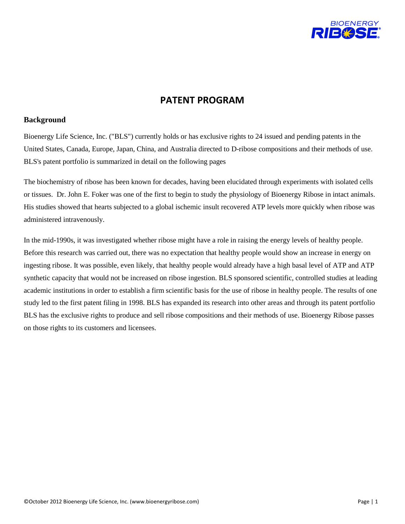

## **PATENT PROGRAM**

## **Background**

Bioenergy Life Science, Inc. ("BLS") currently holds or has exclusive rights to 24 issued and pending patents in the United States, Canada, Europe, Japan, China, and Australia directed to D-ribose compositions and their methods of use. BLS's patent portfolio is summarized in detail on the following pages

The biochemistry of ribose has been known for decades, having been elucidated through experiments with isolated cells or tissues. Dr. John E. Foker was one of the first to begin to study the physiology of Bioenergy Ribose in intact animals. His studies showed that hearts subjected to a global ischemic insult recovered ATP levels more quickly when ribose was administered intravenously.

In the mid-1990s, it was investigated whether ribose might have a role in raising the energy levels of healthy people. Before this research was carried out, there was no expectation that healthy people would show an increase in energy on ingesting ribose. It was possible, even likely, that healthy people would already have a high basal level of ATP and ATP synthetic capacity that would not be increased on ribose ingestion. BLS sponsored scientific, controlled studies at leading academic institutions in order to establish a firm scientific basis for the use of ribose in healthy people. The results of one study led to the first patent filing in 1998. BLS has expanded its research into other areas and through its patent portfolio BLS has the exclusive rights to produce and sell ribose compositions and their methods of use. Bioenergy Ribose passes on those rights to its customers and licensees.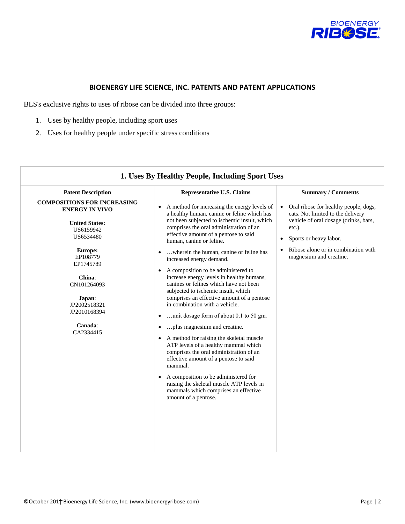

## **BIOENERGY LIFE SCIENCE, INC. PATENTS AND PATENT APPLICATIONS**

BLS's exclusive rights to uses of ribose can be divided into three groups:

- 1. Uses by healthy people, including sport uses
- 2. Uses for healthy people under specific stress conditions

| 1. Uses By Healthy People, Including Sport Uses                                                                |                                                                                                                                                                                                                                                                                                                                                                                                             |                                                                                                                                                                                   |
|----------------------------------------------------------------------------------------------------------------|-------------------------------------------------------------------------------------------------------------------------------------------------------------------------------------------------------------------------------------------------------------------------------------------------------------------------------------------------------------------------------------------------------------|-----------------------------------------------------------------------------------------------------------------------------------------------------------------------------------|
| <b>Patent Description</b>                                                                                      | <b>Representative U.S. Claims</b>                                                                                                                                                                                                                                                                                                                                                                           | <b>Summary / Comments</b>                                                                                                                                                         |
| <b>COMPOSITIONS FOR INCREASING</b><br><b>ENERGY IN VIVO</b><br><b>United States:</b><br>US6159942<br>US6534480 | A method for increasing the energy levels of<br>$\bullet$<br>a healthy human, canine or feline which has<br>not been subjected to ischemic insult, which<br>comprises the oral administration of an<br>effective amount of a pentose to said<br>human, canine or feline.                                                                                                                                    | Oral ribose for healthy people, dogs,<br>$\bullet$<br>cats. Not limited to the delivery<br>vehicle of oral dosage (drinks, bars,<br>etc.).<br>Sports or heavy labor.<br>$\bullet$ |
| <b>Europe:</b><br>EP108779<br>EP1745789<br>China:<br>CN101264093<br>Japan:<br>JP2002518321<br>JP2010168394     | wherein the human, canine or feline has<br>$\bullet$<br>increased energy demand.<br>A composition to be administered to<br>$\bullet$<br>increase energy levels in healthy humans,<br>canines or felines which have not been<br>subjected to ischemic insult, which<br>comprises an effective amount of a pentose<br>in combination with a vehicle.<br>unit dosage form of about 0.1 to 50 gm.<br>$\bullet$  | Ribose alone or in combination with<br>$\bullet$<br>magnesium and creatine.                                                                                                       |
| Canada:<br>CA2334415                                                                                           | plus magnesium and creatine.<br>$\bullet$<br>A method for raising the skeletal muscle<br>$\bullet$<br>ATP levels of a healthy mammal which<br>comprises the oral administration of an<br>effective amount of a pentose to said<br>mammal.<br>A composition to be administered for<br>$\bullet$<br>raising the skeletal muscle ATP levels in<br>mammals which comprises an effective<br>amount of a pentose. |                                                                                                                                                                                   |
|                                                                                                                |                                                                                                                                                                                                                                                                                                                                                                                                             |                                                                                                                                                                                   |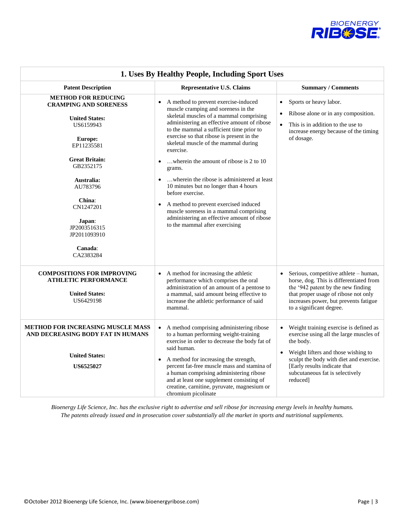

| 1. Uses By Healthy People, Including Sport Uses                                                                                                       |                                                                                                                                                                                                                                                                                                                                                                                                                                   |                                                                                                                                                                                                                                                                              |  |  |
|-------------------------------------------------------------------------------------------------------------------------------------------------------|-----------------------------------------------------------------------------------------------------------------------------------------------------------------------------------------------------------------------------------------------------------------------------------------------------------------------------------------------------------------------------------------------------------------------------------|------------------------------------------------------------------------------------------------------------------------------------------------------------------------------------------------------------------------------------------------------------------------------|--|--|
| <b>Patent Description</b>                                                                                                                             | <b>Representative U.S. Claims</b>                                                                                                                                                                                                                                                                                                                                                                                                 | <b>Summary / Comments</b>                                                                                                                                                                                                                                                    |  |  |
| <b>METHOD FOR REDUCING</b><br><b>CRAMPING AND SORENESS</b><br><b>United States:</b><br>US6159943<br><b>Europe:</b><br>EP11235581                      | A method to prevent exercise-induced<br>muscle cramping and soreness in the<br>skeletal muscles of a mammal comprising<br>administering an effective amount of ribose<br>to the mammal a sufficient time prior to<br>exercise so that ribose is present in the<br>skeletal muscle of the mammal during                                                                                                                            | Sports or heavy labor.<br>$\bullet$<br>Ribose alone or in any composition.<br>$\bullet$<br>This is in addition to the use to<br>increase energy because of the timing<br>of dosage.                                                                                          |  |  |
| <b>Great Britain:</b><br>GB2352175<br>Australia:<br>AU783796<br>China:<br>CN1247201<br>Japan:<br>JP2003516315<br>JP2011093910<br>Canada:<br>CA2383284 | exercise.<br>wherein the amount of ribose is 2 to 10<br>$\bullet$<br>grams.<br>wherein the ribose is administered at least<br>$\bullet$<br>10 minutes but no longer than 4 hours<br>before exercise.<br>A method to prevent exercised induced<br>$\bullet$<br>muscle soreness in a mammal comprising<br>administering an effective amount of ribose<br>to the mammal after exercising                                             |                                                                                                                                                                                                                                                                              |  |  |
| <b>COMPOSITIONS FOR IMPROVING</b><br><b>ATHLETIC PERFORMANCE</b><br><b>United States:</b><br>US6429198                                                | A method for increasing the athletic<br>performance which comprises the oral<br>administration of an amount of a pentose to<br>a mammal, said amount being effective to<br>increase the athletic performance of said<br>mammal.                                                                                                                                                                                                   | Serious, competitive athlete - human,<br>horse, dog. This is differentiated from<br>the '942 patent by the new finding<br>that proper usage of ribose not only<br>increases power, but prevents fatigue<br>to a significant degree.                                          |  |  |
| METHOD FOR INCREASING MUSCLE MASS<br>AND DECREASING BODY FAT IN HUMANS<br><b>United States:</b><br><b>US6525027</b>                                   | A method comprising administering ribose<br>$\bullet$<br>to a human performing weight-training<br>exercise in order to decrease the body fat of<br>said human.<br>A method for increasing the strength,<br>$\bullet$<br>percent fat-free muscle mass and stamina of<br>a human comprising administering ribose<br>and at least one supplement consisting of<br>creatine, carnitine, pyruvate, magnesium or<br>chromium picolinate | Weight training exercise is defined as<br>exercise using all the large muscles of<br>the body.<br>Weight lifters and those wishing to<br>$\bullet$<br>sculpt the body with diet and exercise.<br>[Early results indicate that<br>subcutaneous fat is selectively<br>reduced] |  |  |

*Bioenergy Life Science, Inc. has the exclusive right to advertise and sell ribose for increasing energy levels in healthy humans. The patents already issued and in prosecution cover substantially all the market in sports and nutritional supplements.*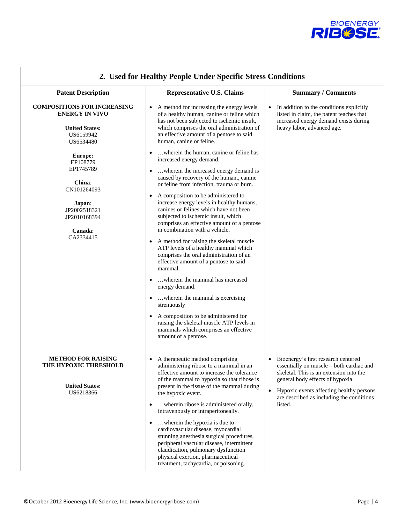

| <b>Patent Description</b>                                                                                                                                                                                                                     | <b>Representative U.S. Claims</b>                                                                                                                                                                                                                                                                                                                                                                                                                                                                                                                                                                                                                                                                                                                                                                                                                                                                                                                                                                                                                                                                                                                                                                                   | <b>Summary / Comments</b>                                                                                                                                                                                                                                          |  |  |
|-----------------------------------------------------------------------------------------------------------------------------------------------------------------------------------------------------------------------------------------------|---------------------------------------------------------------------------------------------------------------------------------------------------------------------------------------------------------------------------------------------------------------------------------------------------------------------------------------------------------------------------------------------------------------------------------------------------------------------------------------------------------------------------------------------------------------------------------------------------------------------------------------------------------------------------------------------------------------------------------------------------------------------------------------------------------------------------------------------------------------------------------------------------------------------------------------------------------------------------------------------------------------------------------------------------------------------------------------------------------------------------------------------------------------------------------------------------------------------|--------------------------------------------------------------------------------------------------------------------------------------------------------------------------------------------------------------------------------------------------------------------|--|--|
| <b>COMPOSITIONS FOR INCREASING</b><br><b>ENERGY IN VIVO</b><br><b>United States:</b><br>US6159942<br>US6534480<br>Europe:<br>EP108779<br>EP1745789<br>China:<br>CN101264093<br>Japan:<br>JP2002518321<br>JP2010168394<br>Canada:<br>CA2334415 | A method for increasing the energy levels<br>$\bullet$<br>of a healthy human, canine or feline which<br>has not been subjected to ischemic insult,<br>which comprises the oral administration of<br>an effective amount of a pentose to said<br>human, canine or feline.<br>wherein the human, canine or feline has<br>increased energy demand.<br>wherein the increased energy demand is<br>caused by recovery of the human,, canine<br>or feline from infection, trauma or burn.<br>A composition to be administered to<br>$\bullet$<br>increase energy levels in healthy humans,<br>canines or felines which have not been<br>subjected to ischemic insult, which<br>comprises an effective amount of a pentose<br>in combination with a vehicle.<br>A method for raising the skeletal muscle<br>ATP levels of a healthy mammal which<br>comprises the oral administration of an<br>effective amount of a pentose to said<br>mammal.<br>wherein the mammal has increased<br>energy demand.<br>wherein the mammal is exercising.<br>strenuously<br>A composition to be administered for<br>$\bullet$<br>raising the skeletal muscle ATP levels in<br>mammals which comprises an effective<br>amount of a pentose. | In addition to the conditions explicitly<br>listed in claim, the patent teaches that<br>increased energy demand exists during<br>heavy labor, advanced age.                                                                                                        |  |  |
| <b>METHOD FOR RAISING</b><br>THE HYPOXIC THRESHOLD<br><b>United States:</b><br>US6218366                                                                                                                                                      | A therapeutic method comprising<br>$\bullet$<br>administering ribose to a mammal in an<br>effective amount to increase the tolerance<br>of the mammal to hypoxia so that ribose is<br>present in the tissue of the mammal during<br>the hypoxic event.<br>wherein ribose is administered orally,<br>٠<br>intravenously or intraperitoneally.<br>wherein the hypoxia is due to<br>٠<br>cardiovascular disease, myocardial<br>stunning anesthesia surgical procedures,<br>peripheral vascular disease, intermittent<br>claudication, pulmonary dysfunction<br>physical exertion, pharmaceutical<br>treatment, tachycardia, or poisoning.                                                                                                                                                                                                                                                                                                                                                                                                                                                                                                                                                                              | Bioenergy's first research centered<br>essentially on muscle - both cardiac and<br>skeletal. This is an extension into the<br>general body effects of hypoxia.<br>Hypoxic events affecting healthy persons<br>are described as including the conditions<br>listed. |  |  |

## **2. Used for Healthy People Under Specific Stress Conditions**